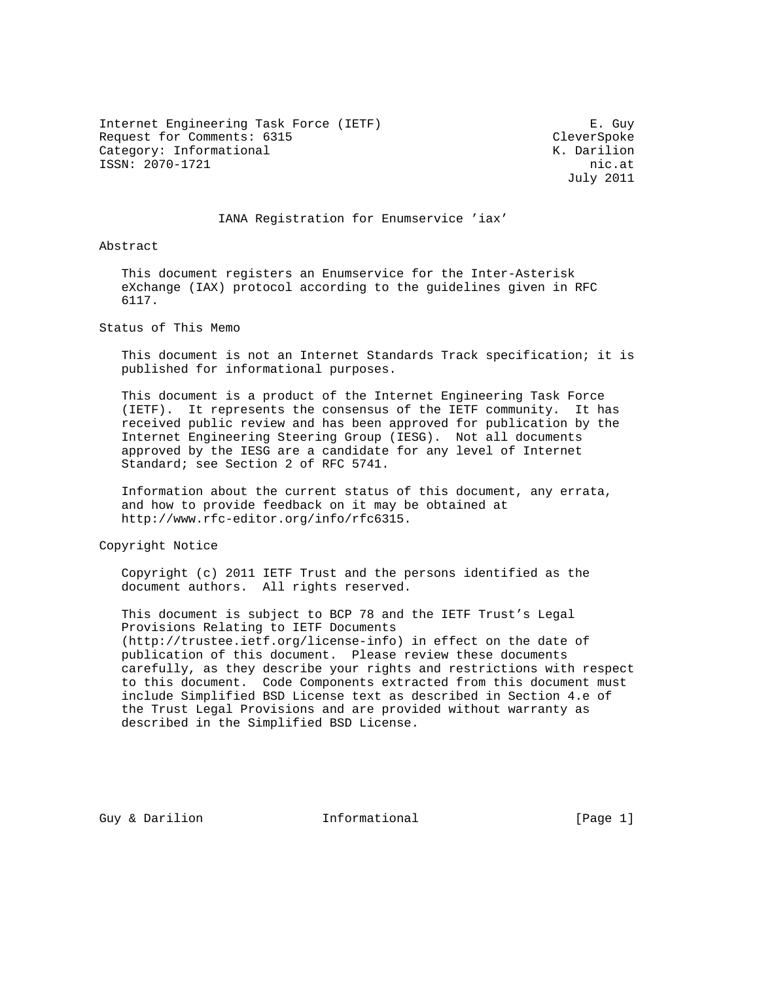Internet Engineering Task Force (IETF) F. Guy Request for Comments: 6315 CleverSpoke Category: Informational  $K.$  Darilion ISSN: 2070-1721 nic.at

July 2011

### IANA Registration for Enumservice 'iax'

Abstract

 This document registers an Enumservice for the Inter-Asterisk eXchange (IAX) protocol according to the guidelines given in RFC 6117.

Status of This Memo

 This document is not an Internet Standards Track specification; it is published for informational purposes.

 This document is a product of the Internet Engineering Task Force (IETF). It represents the consensus of the IETF community. It has received public review and has been approved for publication by the Internet Engineering Steering Group (IESG). Not all documents approved by the IESG are a candidate for any level of Internet Standard; see Section 2 of RFC 5741.

 Information about the current status of this document, any errata, and how to provide feedback on it may be obtained at http://www.rfc-editor.org/info/rfc6315.

Copyright Notice

 Copyright (c) 2011 IETF Trust and the persons identified as the document authors. All rights reserved.

 This document is subject to BCP 78 and the IETF Trust's Legal Provisions Relating to IETF Documents (http://trustee.ietf.org/license-info) in effect on the date of publication of this document. Please review these documents carefully, as they describe your rights and restrictions with respect to this document. Code Components extracted from this document must include Simplified BSD License text as described in Section 4.e of the Trust Legal Provisions and are provided without warranty as described in the Simplified BSD License.

Guy & Darilion **Informational** [Page 1]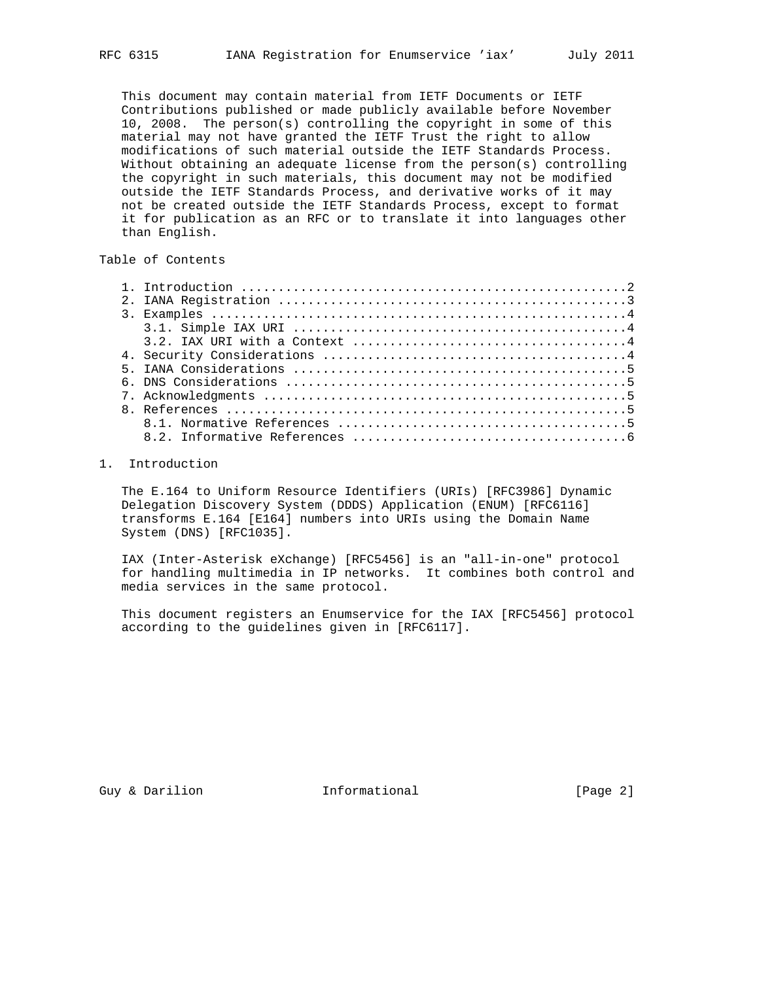This document may contain material from IETF Documents or IETF Contributions published or made publicly available before November 10, 2008. The person(s) controlling the copyright in some of this material may not have granted the IETF Trust the right to allow modifications of such material outside the IETF Standards Process. Without obtaining an adequate license from the person(s) controlling the copyright in such materials, this document may not be modified outside the IETF Standards Process, and derivative works of it may not be created outside the IETF Standards Process, except to format it for publication as an RFC or to translate it into languages other than English.

# Table of Contents

### 1. Introduction

 The E.164 to Uniform Resource Identifiers (URIs) [RFC3986] Dynamic Delegation Discovery System (DDDS) Application (ENUM) [RFC6116] transforms E.164 [E164] numbers into URIs using the Domain Name System (DNS) [RFC1035].

 IAX (Inter-Asterisk eXchange) [RFC5456] is an "all-in-one" protocol for handling multimedia in IP networks. It combines both control and media services in the same protocol.

 This document registers an Enumservice for the IAX [RFC5456] protocol according to the guidelines given in [RFC6117].

Guy & Darilion **Informational** [Page 2]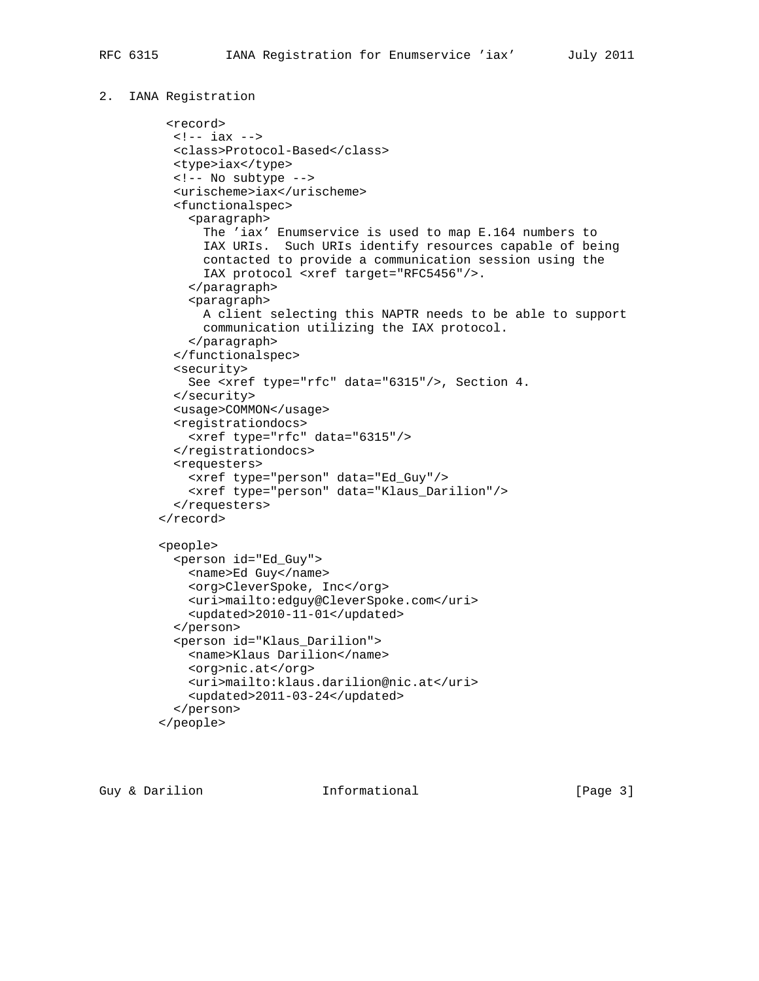### 2. IANA Registration

```
 <record>
 <!-- iax -->
 <class>Protocol-Based</class>
 <type>iax</type>
 <!-- No subtype -->
 <urischeme>iax</urischeme>
 <functionalspec>
    <paragraph>
      The 'iax' Enumservice is used to map E.164 numbers to
      IAX URIs. Such URIs identify resources capable of being
      contacted to provide a communication session using the
      IAX protocol <xref target="RFC5456"/>.
    </paragraph>
    <paragraph>
      A client selecting this NAPTR needs to be able to support
      communication utilizing the IAX protocol.
    </paragraph>
  </functionalspec>
  <security>
   See <xref type="rfc" data="6315"/>, Section 4.
 </security>
 <usage>COMMON</usage>
  <registrationdocs>
    <xref type="rfc" data="6315"/>
  </registrationdocs>
 <requesters>
    <xref type="person" data="Ed_Guy"/>
    <xref type="person" data="Klaus_Darilion"/>
  </requesters>
</record>
<people>
 <person id="Ed_Guy">
   <name>Ed Guy</name>
    <org>CleverSpoke, Inc</org>
    <uri>mailto:edguy@CleverSpoke.com</uri>
    <updated>2010-11-01</updated>
  </person>
  <person id="Klaus_Darilion">
   <name>Klaus Darilion</name>
    <org>nic.at</org>
    <uri>mailto:klaus.darilion@nic.at</uri>
    <updated>2011-03-24</updated>
  </person>
</people>
```
Guy & Darilion **Informational** [Page 3]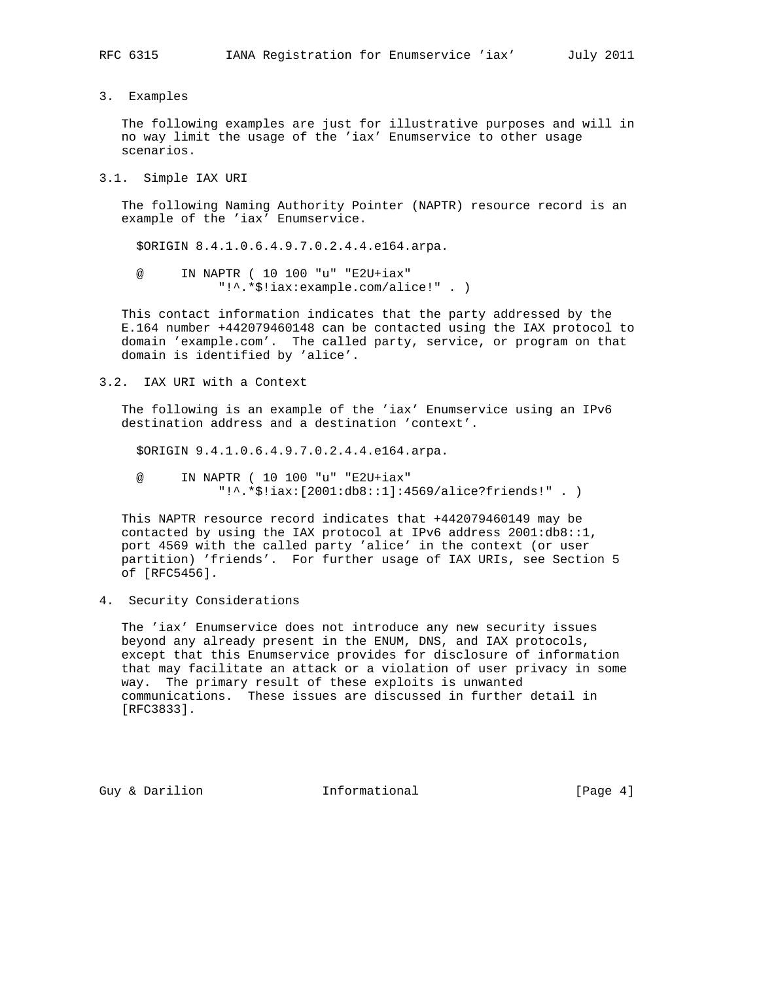3. Examples

 The following examples are just for illustrative purposes and will in no way limit the usage of the 'iax' Enumservice to other usage scenarios.

3.1. Simple IAX URI

 The following Naming Authority Pointer (NAPTR) resource record is an example of the 'iax' Enumservice.

\$ORIGIN 8.4.1.0.6.4.9.7.0.2.4.4.e164.arpa.

 @ IN NAPTR ( 10 100 "u" "E2U+iax" "!^.\*\$!iax:example.com/alice!" . )

 This contact information indicates that the party addressed by the E.164 number +442079460148 can be contacted using the IAX protocol to domain 'example.com'. The called party, service, or program on that domain is identified by 'alice'.

3.2. IAX URI with a Context

 The following is an example of the 'iax' Enumservice using an IPv6 destination address and a destination 'context'.

\$ORIGIN 9.4.1.0.6.4.9.7.0.2.4.4.e164.arpa.

 @ IN NAPTR ( 10 100 "u" "E2U+iax" "!^.\*\$!iax:[2001:db8::1]:4569/alice?friends!" . )

 This NAPTR resource record indicates that +442079460149 may be contacted by using the IAX protocol at IPv6 address 2001:db8::1, port 4569 with the called party 'alice' in the context (or user partition) 'friends'. For further usage of IAX URIs, see Section 5 of [RFC5456].

4. Security Considerations

 The 'iax' Enumservice does not introduce any new security issues beyond any already present in the ENUM, DNS, and IAX protocols, except that this Enumservice provides for disclosure of information that may facilitate an attack or a violation of user privacy in some way. The primary result of these exploits is unwanted communications. These issues are discussed in further detail in [RFC3833].

Guy & Darilion **Informational** [Page 4]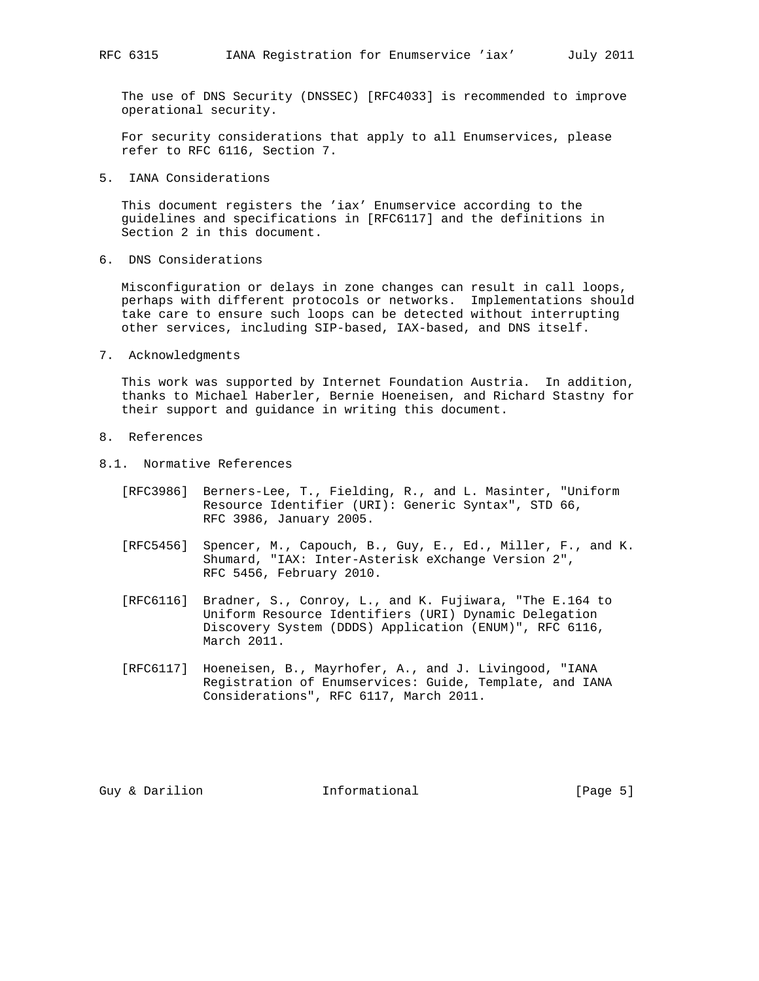The use of DNS Security (DNSSEC) [RFC4033] is recommended to improve operational security.

 For security considerations that apply to all Enumservices, please refer to RFC 6116, Section 7.

5. IANA Considerations

 This document registers the 'iax' Enumservice according to the guidelines and specifications in [RFC6117] and the definitions in Section 2 in this document.

6. DNS Considerations

 Misconfiguration or delays in zone changes can result in call loops, perhaps with different protocols or networks. Implementations should take care to ensure such loops can be detected without interrupting other services, including SIP-based, IAX-based, and DNS itself.

7. Acknowledgments

 This work was supported by Internet Foundation Austria. In addition, thanks to Michael Haberler, Bernie Hoeneisen, and Richard Stastny for their support and guidance in writing this document.

- 8. References
- 8.1. Normative References
	- [RFC3986] Berners-Lee, T., Fielding, R., and L. Masinter, "Uniform Resource Identifier (URI): Generic Syntax", STD 66, RFC 3986, January 2005.
	- [RFC5456] Spencer, M., Capouch, B., Guy, E., Ed., Miller, F., and K. Shumard, "IAX: Inter-Asterisk eXchange Version 2", RFC 5456, February 2010.
	- [RFC6116] Bradner, S., Conroy, L., and K. Fujiwara, "The E.164 to Uniform Resource Identifiers (URI) Dynamic Delegation Discovery System (DDDS) Application (ENUM)", RFC 6116, March 2011.
	- [RFC6117] Hoeneisen, B., Mayrhofer, A., and J. Livingood, "IANA Registration of Enumservices: Guide, Template, and IANA Considerations", RFC 6117, March 2011.

Guy & Darilion **Informational** [Page 5]